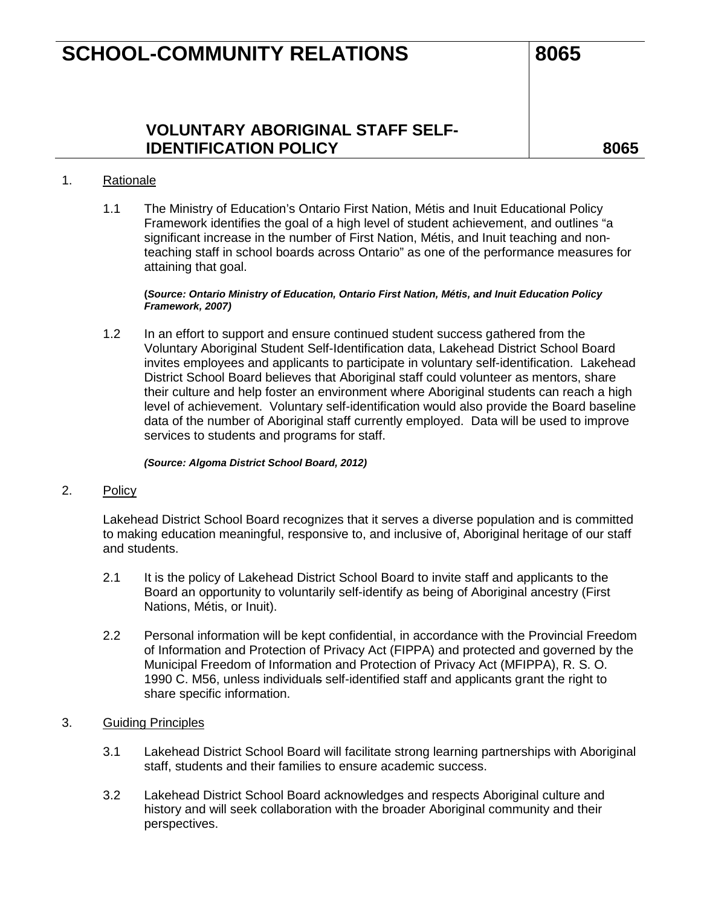## **SCHOOL-COMMUNITY RELATIONS 8065**

## **VOLUNTARY ABORIGINAL STAFF SELF-IDENTIFICATION POLICY 8065**

#### 1. Rationale

1.1 The Ministry of Education's Ontario First Nation, Métis and Inuit Educational Policy Framework identifies the goal of a high level of student achievement, and outlines "a significant increase in the number of First Nation, Métis, and Inuit teaching and nonteaching staff in school boards across Ontario" as one of the performance measures for attaining that goal.

#### **(***Source: Ontario Ministry of Education, Ontario First Nation, Métis, and Inuit Education Policy Framework, 2007)*

1.2 In an effort to support and ensure continued student success gathered from the Voluntary Aboriginal Student Self-Identification data, Lakehead District School Board invites employees and applicants to participate in voluntary self-identification. Lakehead District School Board believes that Aboriginal staff could volunteer as mentors, share their culture and help foster an environment where Aboriginal students can reach a high level of achievement. Voluntary self-identification would also provide the Board baseline data of the number of Aboriginal staff currently employed. Data will be used to improve services to students and programs for staff.

*(Source: Algoma District School Board, 2012)*

#### 2. Policy

Lakehead District School Board recognizes that it serves a diverse population and is committed to making education meaningful, responsive to, and inclusive of, Aboriginal heritage of our staff and students.

- 2.1 It is the policy of Lakehead District School Board to invite staff and applicants to the Board an opportunity to voluntarily self-identify as being of Aboriginal ancestry (First Nations, Métis, or Inuit).
- 2.2 Personal information will be kept confidential, in accordance with the Provincial Freedom of Information and Protection of Privacy Act (FIPPA) and protected and governed by the Municipal Freedom of Information and Protection of Privacy Act (MFIPPA), R. S. O. 1990 C. M56, unless individuals self-identified staff and applicants grant the right to share specific information.

### 3. Guiding Principles

- 3.1 Lakehead District School Board will facilitate strong learning partnerships with Aboriginal staff, students and their families to ensure academic success.
- 3.2 Lakehead District School Board acknowledges and respects Aboriginal culture and history and will seek collaboration with the broader Aboriginal community and their perspectives.